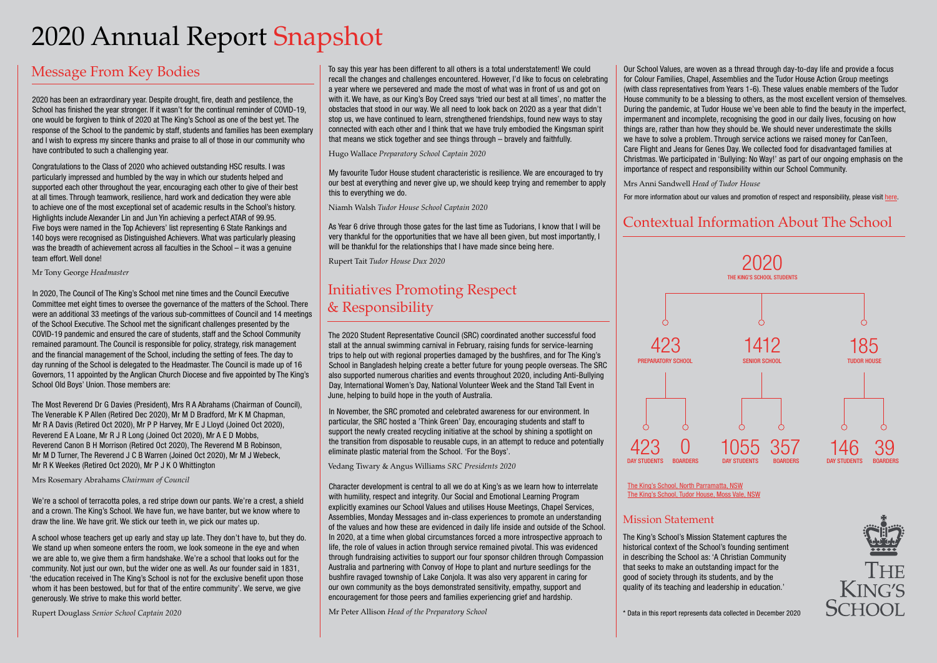# 2020 Annual Report Snapshot

## Message From Key Bodies

2020 has been an extraordinary year. Despite drought, fire, death and pestilence, the School has finished the year stronger. If it wasn't for the continual reminder of COVID-19, one would be forgiven to think of 2020 at The King's School as one of the best yet. The response of the School to the pandemic by staff, students and families has been exemplary and I wish to express my sincere thanks and praise to all of those in our community who have contributed to such a challenging year.

Congratulations to the Class of 2020 who achieved outstanding HSC results. I was particularly impressed and humbled by the way in which our students helped and supported each other throughout the year, encouraging each other to give of their best at all times. Through teamwork, resilience, hard work and dedication they were able to achieve one of the most exceptional set of academic results in the School's history. Highlights include Alexander Lin and Jun Yin achieving a perfect ATAR of 99.95. Five boys were named in the Top Achievers' list representing 6 State Rankings and 140 boys were recognised as Distinguished Achievers. What was particularly pleasing was the breadth of achievement across all faculties in the School – it was a genuine team effort. Well done!

Mr Tony George *Headmaster*

In 2020, The Council of The King's School met nine times and the Council Executive Committee met eight times to oversee the governance of the matters of the School. There were an additional 33 meetings of the various sub-committees of Council and 14 meetings of the School Executive. The School met the significant challenges presented by the COVID-19 pandemic and ensured the care of students, staff and the School Community remained paramount. The Council is responsible for policy, strategy, risk management and the financial management of the School, including the setting of fees. The day to day running of the School is delegated to the Headmaster. The Council is made up of 16 Governors, 11 appointed by the Anglican Church Diocese and five appointed by The King's School Old Boys' Union. Those members are:

The Most Reverend Dr G Davies (President), Mrs R A Abrahams (Chairman of Council), The Venerable K P Allen (Retired Dec 2020), Mr M D Bradford, Mr K M Chapman, Mr R A Davis (Retired Oct 2020), Mr P P Harvey, Mr E J Lloyd (Joined Oct 2020), Reverend E A Loane, Mr R J R Long (Joined Oct 2020), Mr A E D Mobbs, Reverend Canon B H Morrison (Retired Oct 2020), The Reverend M B Robinson, Mr M D Turner, The Reverend J C B Warren (Joined Oct 2020), Mr M J Webeck, Mr R K Weekes (Retired Oct 2020), Mr P J K O Whittington

Mrs Rosemary Abrahams *Chairman of Council*

We're a school of terracotta poles, a red stripe down our pants. We're a crest, a shield and a crown. The King's School. We have fun, we have banter, but we know where to draw the line. We have grit. We stick our teeth in, we pick our mates up.

A school whose teachers get up early and stay up late. They don't have to, but they do. We stand up when someone enters the room, we look someone in the eye and when we are able to, we give them a firm handshake. We're a school that looks out for the community. Not just our own, but the wider one as well. As our founder said in 1831, 'the education received in The King's School is not for the exclusive benefit upon those whom it has been bestowed, but for that of the entire community'. We serve, we give generously. We strive to make this world better.

Rupert Douglass *Senior School Captain 2020*

To say this year has been different to all others is a total understatement! We could recall the changes and challenges encountered. However, I'd like to focus on celebrating a year where we persevered and made the most of what was in front of us and got on with it. We have, as our King's Boy Creed says 'tried our best at all times', no matter the obstacles that stood in our way. We all need to look back on 2020 as a year that didn't stop us, we have continued to learn, strengthened friendships, found new ways to stay connected with each other and I think that we have truly embodied the Kingsman spirit that means we stick together and see things through – bravely and faithfully.

Hugo Wallace *Preparatory School Captain 2020*

My favourite Tudor House student characteristic is resilience. We are encouraged to try our best at everything and never give up, we should keep trying and remember to apply this to everything we do.

Niamh Walsh *Tudor House School Captain 2020*

As Year 6 drive through those gates for the last time as Tudorians, I know that I will be very thankful for the opportunities that we have all been given, but most importantly, I will be thankful for the relationships that I have made since being here.

Rupert Tait *Tudor House Dux 2020*

# Initiatives Promoting Respect & Responsibility

The 2020 Student Representative Council (SRC) coordinated another successful food stall at the annual swimming carnival in February, raising funds for service-learning trips to help out with regional properties damaged by the bushfires, and for The King's School in Bangladesh helping create a better future for young people overseas. The SRC also supported numerous charities and events throughout 2020, including Anti-Bullying Day, International Women's Day, National Volunteer Week and the Stand Tall Event in June, helping to build hope in the youth of Australia.

In November, the SRC promoted and celebrated awareness for our environment. In particular, the SRC hosted a 'Think Green' Day, encouraging students and staff to support the newly created recycling initiative at the school by shining a spotlight on the transition from disposable to reusable cups, in an attempt to reduce and potentially eliminate plastic material from the School. 'For the Boys'.

Vedang Tiwary & Angus Williams *SRC Presidents 2020*

Character development is central to all we do at King's as we learn how to interrelate with humility, respect and integrity. Our Social and Emotional Learning Program explicitly examines our School Values and utilises House Meetings, Chapel Services, Assemblies, Monday Messages and in-class experiences to promote an understanding of the values and how these are evidenced in daily life inside and outside of the School. In 2020, at a time when global circumstances forced a more introspective approach to life, the role of values in action through service remained pivotal. This was evidenced through fundraising activities to support our four sponsor children through Compassion Australia and partnering with Convoy of Hope to plant and nurture seedlings for the bushfire ravaged township of Lake Conjola. It was also very apparent in caring for our own community as the boys demonstrated sensitivity, empathy, support and encouragement for those peers and families experiencing grief and hardship.

Mr Peter Allison *Head of the Preparatory School*

Our School Values, are woven as a thread through day-to-day life and provide a focus for Colour Families, Chapel, Assemblies and the Tudor House Action Group meetings (with class representatives from Years 1-6). These values enable members of the Tudor House community to be a blessing to others, as the most excellent version of themselves. During the pandemic, at Tudor House we've been able to find the beauty in the imperfect, impermanent and incomplete, recognising the good in our daily lives, focusing on how things are, rather than how they should be. We should never underestimate the skills we have to solve a problem. Through service actions we raised money for CanTeen, Care Flight and Jeans for Genes Day. We collected food for disadvantaged families at Christmas. We participated in 'Bullying: No Way!' as part of our ongoing emphasis on the importance of respect and responsibility within our School Community.

Mrs Anni Sandwell *Head of Tudor House*

For more information about our values and promotion of respect and responsibility, please visit [here](https://www.kings.edu.au/discovering/values-and-history/).

### Contextual Information About The School



[The King's School, North Parramatta, NSW](https://www.kings.edu.au/) [The King's School, Tudor House, Moss Vale, NSW](https://www.tudorhouse.nsw.edu.au/)

### Mission Statement

The King's School's Mission Statement captures the historical context of the School's founding sentiment in describing the School as: 'A Christian Community that seeks to make an outstanding impact for the good of society through its students, and by the quality of its teaching and leadership in education.'

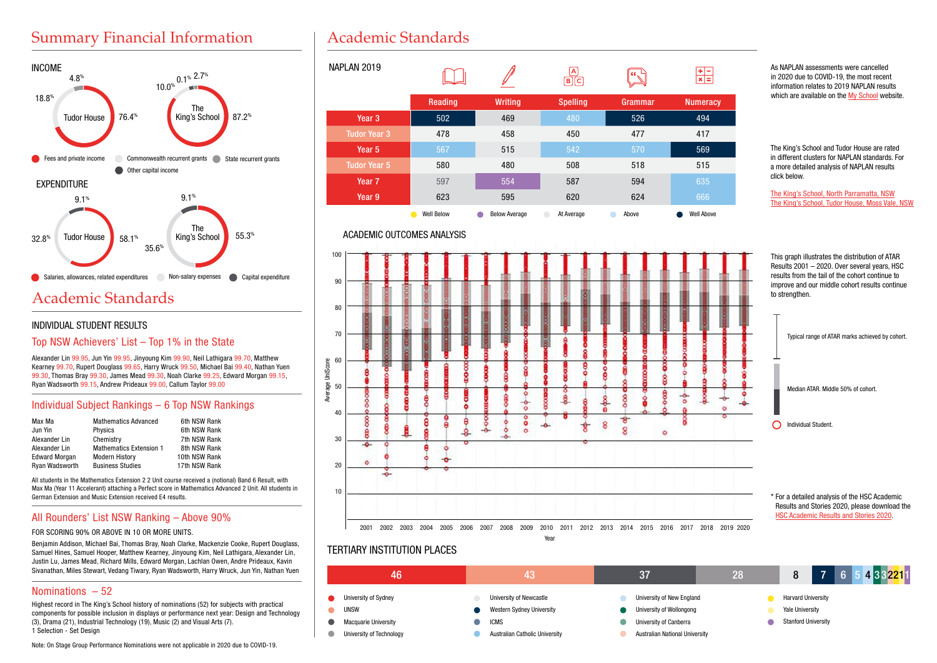# Summary Financial Information



# Academic Standards

### INDIVIDUAL STUDENT RESULTS

### Top NSW Achievers' List – Top 1% in the State

Alexander Lin 99.95, Jun Yin 99.95, Jinyoung Kim 99.90, Neil Lathigara 99.70, Matthew Kearney 99.70, Rupert Douglass 99.65, Harry Wruck 99.50, Michael Bai 99.40, Nathan Yuen 99.30, Thomas Bray 99.30, James Mead 99.30, Noah Clarke 99.25, Edward Morgan 99.15, Ryan Wadsworth 99.15, Andrew Prideaux 99.00, Callum Taylor 99.00

### Individual Subject Rankings – 6 Top NSW Rankings

| Max Ma               | <b>Mathematics Advanced</b>    | 6th NSW Rank  |
|----------------------|--------------------------------|---------------|
| Jun Yin              | <b>Physics</b>                 | 6th NSW Rank  |
| Alexander Lin        | Chemistry                      | 7th NSW Rank  |
| Alexander Lin        | <b>Mathematics Extension 1</b> | 8th NSW Rank  |
| <b>Edward Morgan</b> | <b>Modern History</b>          | 10th NSW Rank |
| Ryan Wadsworth       | <b>Business Studies</b>        | 17th NSW Rank |

All students in the Mathematics Extension 2 2 Unit course received a (notional) Band 6 Result, with Max Ma (Year 11 Accelerant) attaching a Perfect score in Mathematics Advanced 2 Unit. All students in German Extension and Music Extension received E4 results.

### All Rounders' List NSW Ranking – Above 90%

#### FOR SCORING 90% OR ABOVE IN 10 OR MORE UNITS.

Benjamin Addison, Michael Bai, Thomas Bray, Noah Clarke, Mackenzie Cooke, Rupert Douglass, Samuel Hines, Samuel Hooper, Matthew Kearney, Jinyoung Kim, Neil Lathigara, Alexander Lin, Justin Lu, James Mead, Richard Mills, Edward Morgan, Lachlan Owen, Andre Prideaux, Kavin Sivanathan, Miles Stewart, Vedang Tiwary, Ryan Wadsworth, Harry Wruck, Jun Yin, Nathan Yuen

### Nominations – 52

Highest record in The King's School history of nominations (52) for subjects with practical components for possible inclusion in displays or performance next year: Design and Technology (3), Drama (21), Industrial Technology (19), Music (2) and Visual Arts (7). 1 Selection - Set Design

Note: On Stage Group Performance Nominations were not applicable in 2020 due to COVID-19.

# Academic Standards



### ACADEMIC OUTCOMES ANALYSIS



### TERTIARY INSTITUTION PLACES



As NAPLAN assessments were cancelled in 2020 due to COVID-19, the most recent information relates to 2019 NAPLAN results which are available on the [My School](https://myschool.edu.au/) website.

The King's School and Tudor House are rated in different clusters for NAPLAN standards. For a more detailed analysis of NAPLAN results click below.

[The King's School, North Parramatta, NSW](https://www.myschool.edu.au/school/43883)  [The King's School, Tudor House, Moss Vale, NSW](https://www.myschool.edu.au/school/44005)

This graph illustrates the distribution of ATAR Results 2001 – 2020. Over several years, HSC results from the tail of the cohort continue to improve and our middle cohort results continue

Typical range of ATAR marks achieved by cohort.

Results and Stories 2020, please download the [HSC Academic Results and Stories 20](https://issuu.com/thekingsschool_official/docs/kings_hsc_results_and_success_stories_online)20.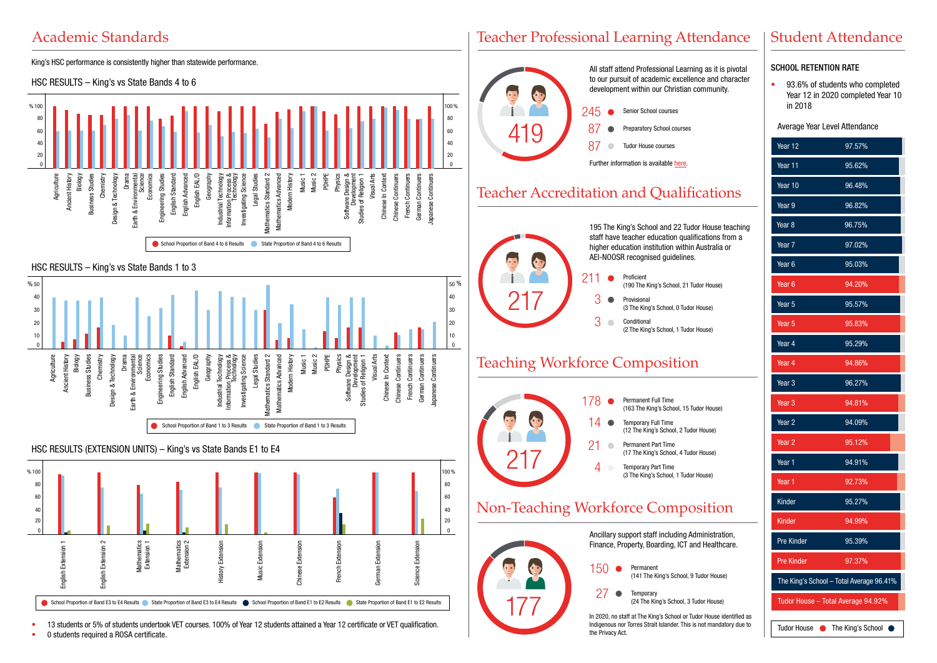# Academic Standards



• 13 students or 5% of students undertook VET courses. 100% of Year 12 students attained a Year 12 certificate or VET qualification.

• 0 students required a ROSA certificate.

### Teacher Professional Learning Attendance



Indigenous nor Torres Strait Islander. This is not mandatory due to the Privacy Act.

# Student Attendance

### SCHOOL RETENTION RATE

• 93.6% of students who completed Year 12 in 2020 completed Year 10 in 2018

#### Average Year Level Attendance

| Year 12                                  | 97.57%            |  |
|------------------------------------------|-------------------|--|
| Year 11                                  | 95.62%            |  |
| Year 10                                  | 96.48%            |  |
| Year 9                                   | 96.82%            |  |
| Year <sub>8</sub>                        | 96.75%            |  |
| Year <sub>7</sub>                        | 97.02%            |  |
| Year <sub>6</sub>                        | 95.03%            |  |
| Year <sub>6</sub>                        | 94.20%            |  |
| Year 5                                   | 95.57%            |  |
| Year <sub>5</sub>                        | 95.83%            |  |
| Year 4                                   | 95.29%            |  |
| Year 4                                   | 94.86%            |  |
| Year <sub>3</sub>                        | 96.27%            |  |
| Year <sub>3</sub>                        | 94.81%            |  |
| Year $2$                                 | 94.09%            |  |
| Year <sub>2</sub>                        | 95.12%            |  |
| Year 1                                   | 94.91%            |  |
| Year 1                                   | 92.73%            |  |
| Kinder                                   | 95.27%            |  |
| Kinder                                   | 94.99%            |  |
| Pre Kinder                               | 95.39%            |  |
| <b>Pre Kinder</b>                        | 97.37%            |  |
| The King's School - Total Average 96.41% |                   |  |
| Tudor House - Total Average 94.92%       |                   |  |
| Tudor House •                            | The King's School |  |